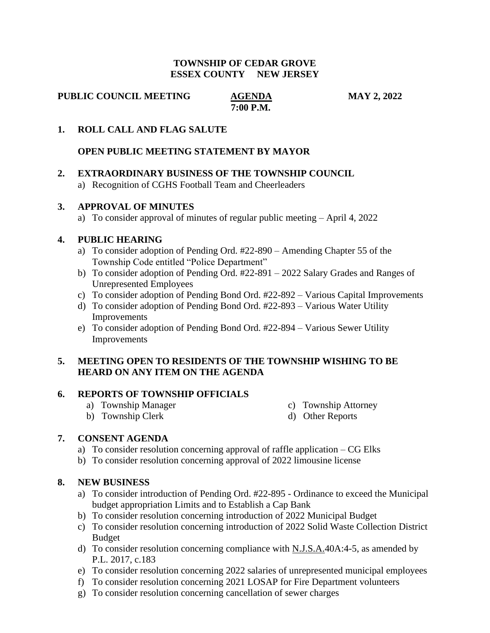#### **TOWNSHIP OF CEDAR GROVE ESSEX COUNTY NEW JERSEY**

**PUBLIC COUNCIL MEETING AGENDA MAY 2, 2022** 

 **7:00 P.M.**

## **1. ROLL CALL AND FLAG SALUTE**

## **OPEN PUBLIC MEETING STATEMENT BY MAYOR**

# **2. EXTRAORDINARY BUSINESS OF THE TOWNSHIP COUNCIL**

a) Recognition of CGHS Football Team and Cheerleaders

## **3. APPROVAL OF MINUTES**

a) To consider approval of minutes of regular public meeting – April 4, 2022

## **4. PUBLIC HEARING**

- a) To consider adoption of Pending Ord. #22-890 Amending Chapter 55 of the Township Code entitled "Police Department"
- b) To consider adoption of Pending Ord. #22-891 2022 Salary Grades and Ranges of Unrepresented Employees
- c) To consider adoption of Pending Bond Ord. #22-892 Various Capital Improvements
- d) To consider adoption of Pending Bond Ord. #22-893 Various Water Utility Improvements
- e) To consider adoption of Pending Bond Ord. #22-894 Various Sewer Utility Improvements

## **5. MEETING OPEN TO RESIDENTS OF THE TOWNSHIP WISHING TO BE HEARD ON ANY ITEM ON THE AGENDA**

#### **6. REPORTS OF TOWNSHIP OFFICIALS**

- 
- a) Township Manager c) Township Attorney
- b) Township Clerk d) Other Reports

#### **7. CONSENT AGENDA**

- a) To consider resolution concerning approval of raffle application CG Elks
- b) To consider resolution concerning approval of 2022 limousine license

#### **8. NEW BUSINESS**

- a) To consider introduction of Pending Ord. #22-895 Ordinance to exceed the Municipal budget appropriation Limits and to Establish a Cap Bank
- b) To consider resolution concerning introduction of 2022 Municipal Budget
- c) To consider resolution concerning introduction of 2022 Solid Waste Collection District Budget
- d) To consider resolution concerning compliance with  $N.J.S.A.40A:4-5$ , as amended by P.L. 2017, c.183
- e) To consider resolution concerning 2022 salaries of unrepresented municipal employees
- f) To consider resolution concerning 2021 LOSAP for Fire Department volunteers
- g) To consider resolution concerning cancellation of sewer charges